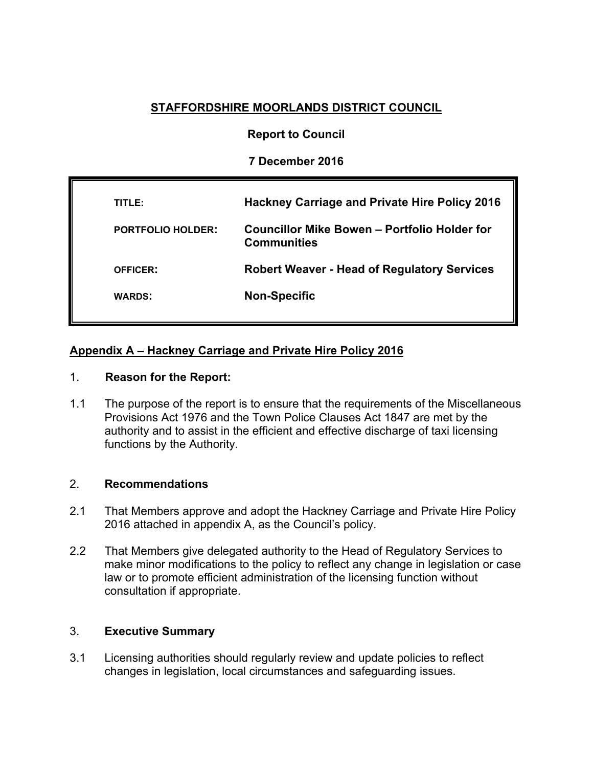# **STAFFORDSHIRE MOORLANDS DISTRICT COUNCIL**

# **Report to Council**

# **7 December 2016**

| TITLE:                   | <b>Hackney Carriage and Private Hire Policy 2016</b>               |
|--------------------------|--------------------------------------------------------------------|
| <b>PORTFOLIO HOLDER:</b> | Councillor Mike Bowen – Portfolio Holder for<br><b>Communities</b> |
| <b>OFFICER:</b>          | <b>Robert Weaver - Head of Regulatory Services</b>                 |
| <b>WARDS:</b>            | <b>Non-Specific</b>                                                |
|                          |                                                                    |

# **Appendix A – Hackney Carriage and Private Hire Policy 2016**

## 1. **Reason for the Report:**

1.1 The purpose of the report is to ensure that the requirements of the Miscellaneous Provisions Act 1976 and the Town Police Clauses Act 1847 are met by the authority and to assist in the efficient and effective discharge of taxi licensing functions by the Authority.

### 2. **Recommendations**

- 2.1 That Members approve and adopt the Hackney Carriage and Private Hire Policy 2016 attached in appendix A, as the Council's policy.
- 2.2 That Members give delegated authority to the Head of Regulatory Services to make minor modifications to the policy to reflect any change in legislation or case law or to promote efficient administration of the licensing function without consultation if appropriate.

## 3. **Executive Summary**

3.1 Licensing authorities should regularly review and update policies to reflect changes in legislation, local circumstances and safeguarding issues.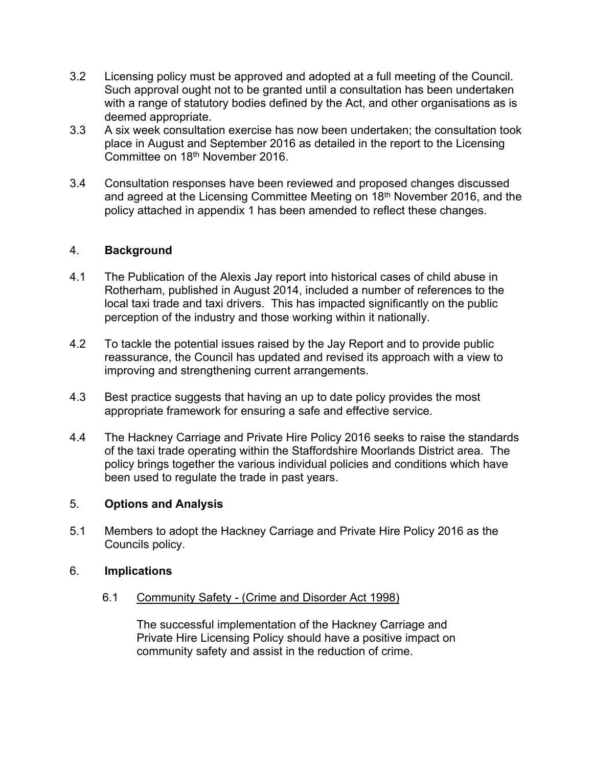- 3.2 Licensing policy must be approved and adopted at a full meeting of the Council. Such approval ought not to be granted until a consultation has been undertaken with a range of statutory bodies defined by the Act, and other organisations as is deemed appropriate.
- 3.3 A six week consultation exercise has now been undertaken; the consultation took place in August and September 2016 as detailed in the report to the Licensing Committee on 18th November 2016.
- 3.4 Consultation responses have been reviewed and proposed changes discussed and agreed at the Licensing Committee Meeting on 18th November 2016, and the policy attached in appendix 1 has been amended to reflect these changes.

## 4. **Background**

- 4.1 The Publication of the Alexis Jay report into historical cases of child abuse in Rotherham, published in August 2014, included a number of references to the local taxi trade and taxi drivers. This has impacted significantly on the public perception of the industry and those working within it nationally.
- 4.2 To tackle the potential issues raised by the Jay Report and to provide public reassurance, the Council has updated and revised its approach with a view to improving and strengthening current arrangements.
- 4.3 Best practice suggests that having an up to date policy provides the most appropriate framework for ensuring a safe and effective service.
- 4.4 The Hackney Carriage and Private Hire Policy 2016 seeks to raise the standards of the taxi trade operating within the Staffordshire Moorlands District area. The policy brings together the various individual policies and conditions which have been used to regulate the trade in past years.

### 5. **Options and Analysis**

5.1 Members to adopt the Hackney Carriage and Private Hire Policy 2016 as the Councils policy.

### 6. **Implications**

6.1 Community Safety - (Crime and Disorder Act 1998)

The successful implementation of the Hackney Carriage and Private Hire Licensing Policy should have a positive impact on community safety and assist in the reduction of crime.